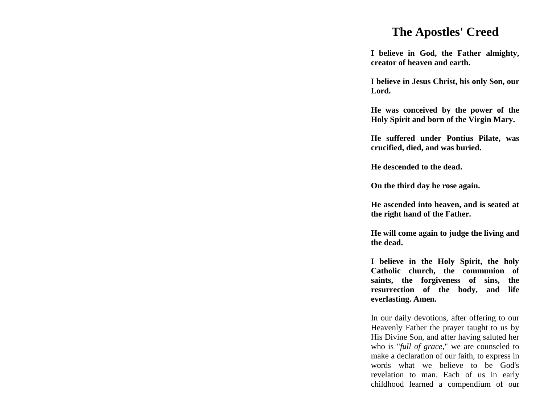## **The Apostles' Creed**

**I believe in God, the Father almighty, creator of heaven and earth.**

**I believe in Jesus Christ, his only Son, our Lord.**

**He was conceived by the power of the Holy Spirit and born of the Virgin Mary.**

**He suffered under Pontius Pilate, was crucified, died, and was buried.**

**He descended to the dead.**

**On the third day he rose again.**

**He ascended into heaven, and is seated at the right hand of the Father.**

**He will come again to judge the living and the dead.**

**I believe in the Holy Spirit, the holy Catholic church, the communion of saints, the forgiveness of sins, the resurrection of the body, and life everlasting. Amen.**

In our daily devotions, after offering to our Heavenly Father the prayer taught to us by His Divine Son, and after having saluted her who is "*full of grace*," we are counseled to make a declaration of our faith, to express in words what we believe to be God's revelation to man. Each of us in early childhood learned a compendium of our